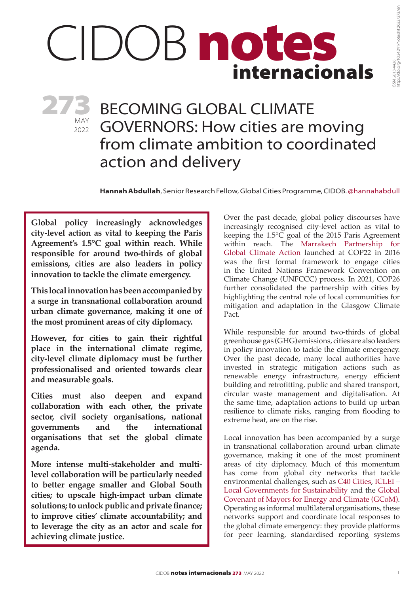# internacionals CIDOB notes

MAY 2022 273

## BECOMING GLOBAL CLIMATE GOVERNORS: How cities are moving from climate ambition to coordinated action and delivery

**Hannah Abdullah**, Senior Research Fellow, Global Cities Programme, CIDOB. @hannahabdull

**Global policy increasingly acknowledges city-level action as vital to keeping the Paris Agreement's 1.5°C goal within reach. While responsible for around two-thirds of global emissions, cities are also leaders in policy innovation to tackle the climate emergency.**

**This local innovation has been accompanied by a surge in transnational collaboration around urban climate governance, making it one of the most prominent areas of city diplomacy.**

**However, for cities to gain their rightful place in the international climate regime, city-level climate diplomacy must be further professionalised and oriented towards clear and measurable goals.** 

**Cities must also deepen and expand collaboration with each other, the private sector, civil society organisations, national governments and the international organisations that set the global climate agenda.**

**More intense multi-stakeholder and multilevel collaboration will be particularly needed to better engage smaller and Global South cities; to upscale high-impact urban climate solutions; to unlock public and private finance; to improve cities' climate accountability; and to leverage the city as an actor and scale for achieving climate justice.**

Over the past decade, global policy discourses have increasingly recognised city-level action as vital to keeping the 1.5°C goal of the 2015 Paris Agreement within reach. The [Marrakech Partnership for](https://unfccc.int/climate-action/marrakech-partnership-for-global-climate-action)  [Global Climate Action](https://unfccc.int/climate-action/marrakech-partnership-for-global-climate-action) launched at COP22 in 2016 was the first formal framework to engage cities in the United Nations Framework Convention on Climate Change (UNFCCC) process. In 2021, COP26 further consolidated the partnership with cities by highlighting the central role of local communities for mitigation and adaptation in the Glasgow Climate Pact.

While responsible for around two-thirds of global greenhouse gas (GHG) emissions, cities are also leaders in policy innovation to tackle the climate emergency. Over the past decade, many local authorities have invested in strategic mitigation actions such as renewable energy infrastructure, energy efficient building and retrofitting, public and shared transport, circular waste management and digitalisation. At the same time, adaptation actions to build up urban resilience to climate risks, ranging from flooding to extreme heat, are on the rise.

Local innovation has been accompanied by a surge in transnational collaboration around urban climate governance, making it one of the most prominent areas of city diplomacy. Much of this momentum has come from global city networks that tackle environmental challenges, such as [C40 Cities](https://www.c40.org/), [ICLEI](https://www.iclei.org/) – Local Governments for Sustainability and the [Global](https://www.globalcovenantofmayors.org/)  [Covenant of Mayors for Energy and Climate](https://www.globalcovenantofmayors.org/) (GCoM). Operating as informal multilateral organisations, these networks support and coordinate local responses to the global climate emergency: they provide platforms for peer learning, standardised reporting systems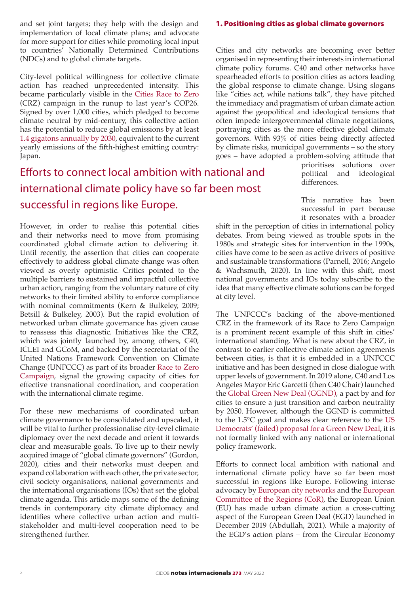and set joint targets; they help with the design and implementation of local climate plans; and advocate for more support for cities while promoting local input to countries' Nationally Determined Contributions (NDCs) and to global climate targets.

City-level political willingness for collective climate action has reached unprecedented intensity. This became particularly visible in the [Cities Race to Zero](https://www.c40.org/what-we-do/building-a-movement/cities-race-to-zero/) (CRZ) campaign in the runup to last year's COP26. Signed by over 1,000 cities, which pledged to become climate neutral by mid-century, this collective action has the potential to reduce global emissions by at least [1.4 gigatons annually by 2030,](https://www.lamayor.org/mayor-garcetti-leads-historic-global-coalition-mayors-cop26) equivalent to the current yearly emissions of the fifth-highest emitting country: Japan.

## Efforts to connect local ambition with national and international climate policy have so far been most successful in regions like Europe.

However, in order to realise this potential cities and their networks need to move from promising coordinated global climate action to delivering it. Until recently, the assertion that cities can cooperate effectively to address global climate change was often viewed as overly optimistic. Critics pointed to the multiple barriers to sustained and impactful collective urban action, ranging from the voluntary nature of city networks to their limited ability to enforce compliance with nominal commitments (Kern & Bulkeley, 2009; Betsill & Bulkeley, 2003). But the rapid evolution of networked urban climate governance has given cause to reassess this diagnostic. Initiatives like the CRZ, which was jointly launched by, among others, C40, ICLEI and GCoM, and backed by the secretariat of the United Nations Framework Convention on Climate Change (UNFCCC) as part of its broader [Race to Zero](https://unfccc.int/climate-action/race-to-zero-campaign) [Campaign,](https://unfccc.int/climate-action/race-to-zero-campaign) signal the growing capacity of cities for effective transnational coordination, and cooperation with the international climate regime.

For these new mechanisms of coordinated urban climate governance to be consolidated and upscaled, it will be vital to further professionalise city-level climate diplomacy over the next decade and orient it towards clear and measurable goals. To live up to their newly acquired image of "global climate governors" (Gordon, 2020), cities and their networks must deepen and expand collaboration with each other, the private sector, civil society organisations, national governments and the international organisations (IOs) that set the global climate agenda. This article maps some of the defining trends in contemporary city climate diplomacy and identifies where collective urban action and multistakeholder and multi-level cooperation need to be strengthened further.

#### 1. Positioning cities as global climate governors

Cities and city networks are becoming ever better organised in representing their interests in international climate policy forums. C40 and other networks have spearheaded efforts to position cities as actors leading the global response to climate change. Using slogans like "cities act, while nations talk", they have pitched the immediacy and pragmatism of urban climate action against the geopolitical and ideological tensions that often impede intergovernmental climate negotiations, portraying cities as the more effective global climate governors. With 93% of cities being directly affected by climate risks, municipal governments – so the story goes – have adopted a problem-solving attitude that

prioritises solutions over political and ideological differences.

This narrative has been successful in part because it resonates with a broader

shift in the perception of cities in international policy debates. From being viewed as trouble spots in the 1980s and strategic sites for intervention in the 1990s, cities have come to be seen as active drivers of positive and sustainable transformations (Parnell, 2016; Angelo & Wachsmuth, 2020). In line with this shift, most national governments and IOs today subscribe to the idea that many effective climate solutions can be forged at city level.

The UNFCCC's backing of the above-mentioned CRZ in the framework of its Race to Zero Campaign is a prominent recent example of this shift in cities' international standing. What is new about the CRZ, in contrast to earlier collective climate action agreements between cities, is that it is embedded in a UNFCCC initiative and has been designed in close dialogue with upper levels of government. In 2019 alone, C40 and Los Angeles Mayor Eric Garcetti (then C40 Chair) launched the [Global Green New Deal](https://www.c40.org/what-we-do/building-a-movement/global-green-new-deal/) (GGND), a pact by and for cities to ensure a just transition and carbon neutrality by 2050. However, although the GGND is committed to the 1.5°C goal and makes clear reference to the [US](https://www.washingtonpost.com/powerpost/green-new-deal-on-track-to-senate-defeat-as-democrats-call-vote-a-sham/2019/03/26/834f3e5e-4fdd-11e9-a3f7-78b7525a8d5f_story.html)  [Democrats' \(failed\) proposal for a Green New Deal,](https://www.washingtonpost.com/powerpost/green-new-deal-on-track-to-senate-defeat-as-democrats-call-vote-a-sham/2019/03/26/834f3e5e-4fdd-11e9-a3f7-78b7525a8d5f_story.html) it is not formally linked with any national or international policy framework.

Efforts to connect local ambition with national and international climate policy have so far been most successful in regions like Europe. Following intense advocacy by [European city networks](https://conferences.sustainablecities.eu/fileadmin/user_upload/_temp_/Mannheim2020/Message/Mannheim-Message.pdf) and the [European](https://cor.europa.eu/es/engage/Pages/green-deal.aspx)  [Committee of the Regions](https://cor.europa.eu/es/engage/Pages/green-deal.aspx) (CoR), the European Union (EU) has made urban climate action a cross-cutting aspect of the European Green Deal (EGD) launched in December 2019 (Abdullah, 2021). While a majority of the EGD's action plans – from the Circular Economy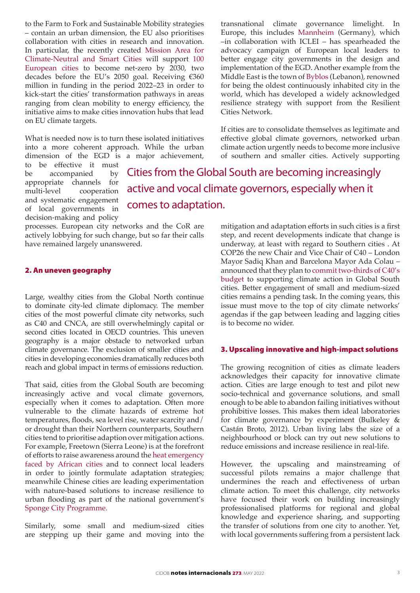to the Farm to Fork and Sustainable Mobility strategies – contain an urban dimension, the EU also prioritises collaboration with cities in research and innovation. In particular, the recently created [Mission Area for](https://ec.europa.eu/info/research-and-innovation/funding/funding-opportunities/funding-programmes-and-open-calls/horizon-europe/eu-missions-horizon-europe/climate-neutral-and-smart-cities_en) [Climate-Neutral and Smart Cities](https://ec.europa.eu/info/research-and-innovation/funding/funding-opportunities/funding-programmes-and-open-calls/horizon-europe/eu-missions-horizon-europe/climate-neutral-and-smart-cities_en) will support [100](https://ec.europa.eu/commission/presscorner/detail/en/IP_22_2591) [European cities](https://ec.europa.eu/commission/presscorner/detail/en/IP_22_2591) to become net-zero by 2030, two decades before the EU's 2050 goal. Receiving  $€360$ million in funding in the period 2022–23 in order to kick-start the cities' transformation pathways in areas ranging from clean mobility to energy efficiency, the initiative aims to make cities innovation hubs that lead on EU climate targets.

What is needed now is to turn these isolated initiatives into a more coherent approach. While the urban dimension of the EGD is a major achievement,

to be effective it must be accompanied by appropriate channels for multi-level cooperation and systematic engagement of local governments in decision-making and policy

Cities from the Global South are becoming increasingly active and vocal climate governors, especially when it comes to adaptation.

Cities Network.

processes. European city networks and the CoR are actively lobbying for such change, but so far their calls have remained largely unanswered.

#### 2. An uneven geography

Large, wealthy cities from the Global North continue to dominate city-led climate diplomacy. The member cities of the most powerful climate city networks, such as C40 and CNCA, are still overwhelmingly capital or second cities located in OECD countries. This uneven geography is a major obstacle to networked urban climate governance. The exclusion of smaller cities and cities in developing economies dramatically reduces both reach and global impact in terms of emissions reduction.

That said, cities from the Global South are becoming increasingly active and vocal climate governors, especially when it comes to adaptation. Often more vulnerable to the climate hazards of extreme hot temperatures, floods, sea level rise, water scarcity and/ or drought than their Northern counterparts, Southern cities tend to prioritise adaption over mitigation actions. For example, Freetown (Sierra Leone) is at the forefront of efforts to raise awareness around the [heat emergency](https://www.atlanticcouncil.org/news/press-releases/freetown-mayor-yvonne-aki-sawyerr-announces-africas-first-chief-heat-officer/) [faced by African cities](https://www.atlanticcouncil.org/news/press-releases/freetown-mayor-yvonne-aki-sawyerr-announces-africas-first-chief-heat-officer/) and to connect local leaders in order to jointly formulate adaptation strategies; meanwhile Chinese cities are leading experimentation with nature-based solutions to increase resilience to urban flooding as part of the national government's [Sponge City Programme.](https://urbantransitions.global/wp-content/uploads/2020/03/Building-climate-resilience-and-water-security-in-cities-lessons-from-the-Sponge-City-of-Wuhan-China-final.pdf)

Similarly, some small and medium-sized cities are stepping up their game and moving into the

mitigation and adaptation efforts in such cities is a first step, and recent developments indicate that change is underway, at least with regard to Southern cities . At COP26 the new Chair and Vice Chair of C40 – London Mayor Sadiq Khan and Barcelona Mayor Ada Colau – announced that they plan to [commit two-thirds of C40's](https://www.energylivenews.com/2021/11/03/cop26-live-london-mayor-becomes-new-chair-of-global-network-of-megacities/)  [budget](https://www.energylivenews.com/2021/11/03/cop26-live-london-mayor-becomes-new-chair-of-global-network-of-megacities/) to supporting climate action in Global South cities. Better engagement of small and medium-sized cities remains a pending task. In the coming years, this issue must move to the top of city climate networks' agendas if the gap between leading and lagging cities is to become no wider.

transnational climate governance limelight. In Europe, this includes [Mannheim](https://conferences.sustainablecities.eu/fileadmin/user_upload/_temp_/Mannheim2020/Message/Mannheim-Message.pdf) (Germany), which –in collaboration with ICLEI – has spearheaded the advocacy campaign of European local leaders to better engage city governments in the design and implementation of the EGD. Another example from the Middle East is the town of [Byblos](https://resilientcitiesnetwork.org/networks/byblos/) (Lebanon), renowned for being the oldest continuously inhabited city in the world, which has developed a widely acknowledged resilience strategy with support from the Resilient

If cities are to consolidate themselves as legitimate and effective global climate governors, networked urban climate action urgently needs to become more inclusive of southern and smaller cities. Actively supporting

#### 3. Upscaling innovative and high-impact solutions

The growing recognition of cities as climate leaders acknowledges their capacity for innovative climate action. Cities are large enough to test and pilot new socio-technical and governance solutions, and small enough to be able to abandon failing initiatives without prohibitive losses. This makes them ideal laboratories for climate governance by experiment (Bulkeley & Castán Broto, 2012). Urban living labs the size of a neighbourhood or block can try out new solutions to reduce emissions and increase resilience in real-life.

However, the upscaling and mainstreaming of successful pilots remains a major challenge that undermines the reach and effectiveness of urban climate action. To meet this challenge, city networks have focused their work on building increasingly professionalised platforms for regional and global knowledge and experience sharing, and supporting the transfer of solutions from one city to another. Yet, with local governments suffering from a persistent lack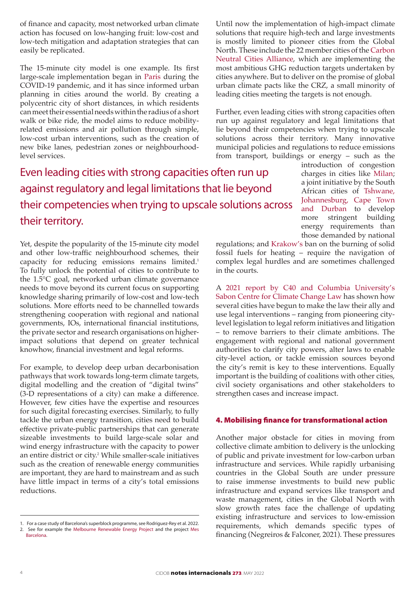of finance and capacity, most networked urban climate action has focused on low-hanging fruit: low-cost and low-tech mitigation and adaptation strategies that can easily be replicated.

The 15-minute city model is one example. Its first large-scale implementation began in [Paris](https://www.paris.fr/dossiers/paris-ville-du-quart-d-heure-ou-le-pari-de-la-proximite-37) during the COVID-19 pandemic, and it has since informed urban planning in cities around the world. By creating a polycentric city of short distances, in which residents can meet their essential needs within the radius of a short walk or bike ride, the model aims to reduce mobilityrelated emissions and air pollution through simple, low-cost urban interventions, such as the creation of new bike lanes, pedestrian zones or neighbourhoodlevel services.

Even leading cities with strong capacities often run up against regulatory and legal limitations that lie beyond their competencies when trying to upscale solutions across their territory.

Yet, despite the popularity of the 15-minute city model and other low-traffic neighbourhood schemes, their capacity for reducing emissions remains limited.<sup>1</sup> To fully unlock the potential of cities to contribute to the 1.5°C goal, networked urban climate governance needs to move beyond its current focus on supporting knowledge sharing primarily of low-cost and low-tech solutions. More efforts need to be channelled towards strengthening cooperation with regional and national governments, IOs, international financial institutions, the private sector and research organisations on higherimpact solutions that depend on greater technical knowhow, financial investment and legal reforms.

For example, to develop deep urban decarbonisation pathways that work towards long-term climate targets, digital modelling and the creation of "digital twins" (3-D representations of a city) can make a difference. However, few cities have the expertise and resources for such digital forecasting exercises. Similarly, to fully tackle the urban energy transition, cities need to build effective private-public partnerships that can generate sizeable investments to build large-scale solar and wind energy infrastructure with the capacity to power an entire district or city.<sup>2</sup> While smaller-scale initiatives such as the creation of renewable energy communities are important, they are hard to mainstream and as such have little impact in terms of a city's total emissions reductions.

Until now the implementation of high-impact climate solutions that require high-tech and large investments is mostly limited to pioneer cities from the Global North. These include the 22 member cities of the [Carbon](https://carbonneutralcities.org/cities/)  [Neutral Cities Alliance,](https://carbonneutralcities.org/cities/) which are implementing the most ambitious GHG reduction targets undertaken by cities anywhere. But to deliver on the promise of global urban climate pacts like the CRZ, a small minority of leading cities meeting the targets is not enough.

Further, even leading cities with strong capacities often run up against regulatory and legal limitations that lie beyond their competencies when trying to upscale solutions across their territory. Many innovative municipal policies and regulations to reduce emissions from transport, buildings or energy – such as the

introduction of congestion charges in cities like [Milan](https://www.nytimes.com/2012/08/13/world/europe/ruling-halts-an-effort-to-reduce-traffic-in-milan.html); a joint initiative by the South African cities of [Tshwane,](https://www.c40.org/what-we-do/scaling-up-climate-action/energy-and-buildings/c40-cities-south-africa-buildings-programme/)  [Johannesburg, Cape Town](https://www.c40.org/what-we-do/scaling-up-climate-action/energy-and-buildings/c40-cities-south-africa-buildings-programme/)  [and Durban](https://www.c40.org/what-we-do/scaling-up-climate-action/energy-and-buildings/c40-cities-south-africa-buildings-programme/) to develop more stringent building energy requirements than those demanded by national

regulations; and [Krakow's](https://www.bloomberg.com/news/articles/2019-09-12/to-cut-air-pollution-krakow-targets-coal-and-wood) ban on the burning of solid fossil fuels for heating – require the navigation of complex legal hurdles and are sometimes challenged in the courts.

A [2021 report by C40 and Columbia University's](file:///C:\Users\hannah\Downloads\C40%20Cities%20(2021)%20Legal%20interventions%20-%20How%20cities%20can%20drive%20climate%20action.pdf)  [Sabon Centre for Climate Change Law](file:///C:\Users\hannah\Downloads\C40%20Cities%20(2021)%20Legal%20interventions%20-%20How%20cities%20can%20drive%20climate%20action.pdf) has shown how several cities have begun to make the law their ally and use legal interventions – ranging from pioneering citylevel legislation to legal reform initiatives and litigation – to remove barriers to their climate ambitions. The engagement with regional and national government authorities to clarify city powers, alter laws to enable city-level action, or tackle emission sources beyond the city's remit is key to these interventions. Equally important is the building of coalitions with other cities, civil society organisations and other stakeholders to strengthen cases and increase impact.

#### 4. Mobilising finance for transformational action

Another major obstacle for cities in moving from collective climate ambition to delivery is the unlocking of public and private investment for low-carbon urban infrastructure and services. While rapidly urbanising countries in the Global South are under pressure to raise immense investments to build new public infrastructure and expand services like transport and waste management, cities in the Global North with slow growth rates face the challenge of updating existing infrastructure and services to low-emission requirements, which demands specific types of financing (Negreiros & Falconer, 2021). These pressures

<sup>1.</sup> For a case study of Barcelona's superblock programme, see Rodriguez-Rey et al. 2022. 2. See for example the [Melbourne Renewable Energy Project](https://www.melbourne.vic.gov.au/business/sustainable-business/mrep/Pages/melbourne-renewable-energy-project.aspx) and the project [Mes](https://ajuntament.barcelona.cat/agenda2030/en/mesbarcelona) [Barcelona.](https://ajuntament.barcelona.cat/agenda2030/en/mesbarcelona)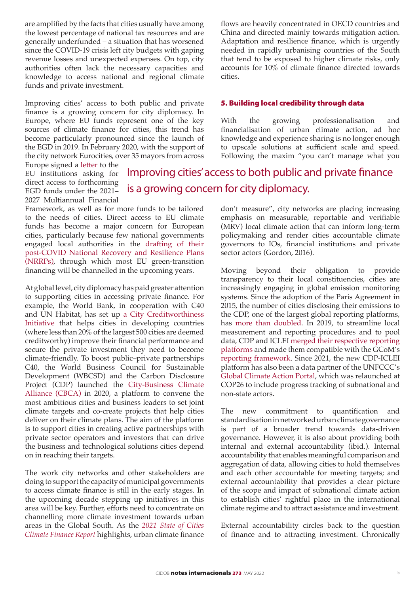are amplified by the facts that cities usually have among the lowest percentage of national tax resources and are generally underfunded – a situation that has worsened since the COVID-19 crisis left city budgets with gaping revenue losses and unexpected expenses. On top, city authorities often lack the necessary capacities and knowledge to access national and regional climate funds and private investment.

Improving cities' access to both public and private finance is a growing concern for city diplomacy. In Europe, where EU funds represent one of the key sources of climate finance for cities, this trend has become particularly pronounced since the launch of the EGD in 2019. In February 2020, with the support of the city network Eurocities, over 35 mayors from across

Europe signed a [letter](https://budapest.hu/sites/english/Lapok/2020/eu-lobby.aspx) to the EU institutions asking for direct access to forthcoming EGD funds under the 2021– 2027 Multiannual Financial

Framework, as well as for more funds to be tailored to the needs of cities. Direct access to EU climate funds has become a major concern for European cities, particularly because few national governments engaged local authorities in the [drafting of their](file:///C:\Users\ptom_\AppData\Local\Microsoft\Windows\INetCache\Content.Outlook\0PSJ06GF\few%20governments%20engaged%20local%20authorities%20and%20their%20needs%20in%20the%20drafting%20of%20their%20National%20Recovery%20and%20Resilience%20Plans) [post-COVID National Recovery and Resilience Plans](file:///C:\Users\ptom_\AppData\Local\Microsoft\Windows\INetCache\Content.Outlook\0PSJ06GF\few%20governments%20engaged%20local%20authorities%20and%20their%20needs%20in%20the%20drafting%20of%20their%20National%20Recovery%20and%20Resilience%20Plans) [\(NRRPs\),](file:///C:\Users\ptom_\AppData\Local\Microsoft\Windows\INetCache\Content.Outlook\0PSJ06GF\few%20governments%20engaged%20local%20authorities%20and%20their%20needs%20in%20the%20drafting%20of%20their%20National%20Recovery%20and%20Resilience%20Plans) through which most EU green-transition financing will be channelled in the upcoming years.

At global level, city diplomacy has paid greater attention to supporting cities in accessing private finance. For example, the World Bank, in cooperation with C40 and UN Habitat, has set up a City Creditworthiness Initiative that helps cities in developing countries (where less than 20% of the largest 500 cities are deemed creditworthy) improve their financial performance and secure the private investment they need to become climate-friendly. To boost public–private partnerships C40, the World Business Council for Sustainable Development (WBCSD) and the Carbon Disclosure Project (CDP) launched the [City-Business Climate](https://www.city-businessclimatealliance.org/) [Alliance \(CBCA\)](https://www.city-businessclimatealliance.org/) in 2020, a platform to convene the most ambitious cities and business leaders to set joint climate targets and co-create projects that help cities deliver on their climate plans. The aim of the platform is to support cities in creating active partnerships with private sector operators and investors that can drive the business and technological solutions cities depend on in reaching their targets.

The work city networks and other stakeholders are doing to support the capacity of municipal governments to access climate finance is still in the early stages. In the upcoming decade stepping up initiatives in this area will be key. Further, efforts need to concentrate on channelling more climate investment towards urban areas in the Global South. As the *2021 State of Cities Climate Finance Report* highlights, urban climate finance

flows are heavily concentrated in OECD countries and China and directed mainly towards mitigation action. Adaptation and resilience finance, which is urgently needed in rapidly urbanising countries of the South that tend to be exposed to higher climate risks, only accounts for 10% of climate finance directed towards cities.

#### 5. Building local credibility through data

With the growing professionalisation and financialisation of urban climate action, ad hoc knowledge and experience sharing is no longer enough to upscale solutions at sufficient scale and speed. Following the maxim "you can't manage what you

### Improving cities' access to both public and private finance is a growing concern for city diplomacy.

don't measure", city networks are placing increasing emphasis on measurable, reportable and verifiable (MRV) local climate action that can inform long-term policymaking and render cities accountable climate governors to IOs, financial institutions and private sector actors (Gordon, 2016).

Moving beyond their obligation to provide transparency to their local constituencies, cities are increasingly engaging in global emission monitoring systems. Since the adoption of the Paris Agreement in 2015, the number of cities disclosing their emissions to the CDP, one of the largest global reporting platforms, has [more than doubled](https://cdn.cdp.net/cdp-production/cms/reports/documents/000/005/759/original/CDP_Cities_on_the_Route_to_2030.pdf?1621329680). In 2019, to streamline local measurement and reporting procedures and to pool data, CDP and ICLEI [merged their respective reporting](https://carbonn.org/pages/about)  [platforms](https://carbonn.org/pages/about) and made them compatible with the GCoM's [reporting framework.](https://www.globalcovenantofmayors.org/our-initiatives/data4cities/common-global-reporting-framework/) Since 2021, the new CDP-ICLEI platform has also been a data partner of the UNFCCC's [Global Climate Action Portal,](https://climateaction.unfccc.int/) which was relaunched at COP26 to include progress tracking of subnational and non-state actors.

The new commitment to quantification and standardisation in networked urban climate governance is part of a broader trend towards data-driven governance. However, it is also about providing both internal and external accountability (ibid.). Internal accountability that enables meaningful comparison and aggregation of data, allowing cities to hold themselves and each other accountable for meeting targets; and external accountability that provides a clear picture of the scope and impact of subnational climate action to establish cities' rightful place in the international climate regime and to attract assistance and investment.

External accountability circles back to the question of finance and to attracting investment. Chronically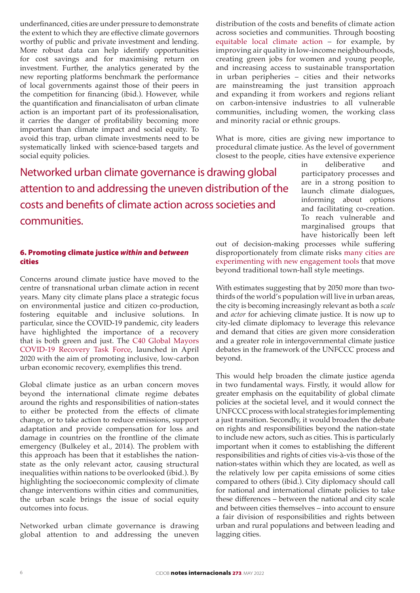underfinanced, cities are under pressure to demonstrate the extent to which they are effective climate governors worthy of public and private investment and lending. More robust data can help identify opportunities for cost savings and for maximising return on investment. Further, the analytics generated by the new reporting platforms benchmark the performance of local governments against those of their peers in the competition for financing (ibid.). However, while the quantification and financialisaton of urban climate action is an important part of its professionalisation, it carries the danger of profitability becoming more important than climate impact and social equity. To avoid this trap, urban climate investments need to be systematically linked with science-based targets and social equity policies.

Networked urban climate governance is drawing global attention to and addressing the uneven distribution of the costs and benefits of climate action across societies and communities.

#### 6. Promoting climate justice *within* and *between* cities

Concerns around climate justice have moved to the centre of transnational urban climate action in recent years. Many city climate plans place a strategic focus on environmental justice and citizen co-production, fostering equitable and inclusive solutions. In particular, since the COVID-19 pandemic, city leaders have highlighted the importance of a recovery that is both green and just. The C40 Global Mayors COVID-19 Recovery Task Force, launched in April 2020 with the aim of promoting inclusive, low-carbon urban economic recovery, exemplifies this trend.

Global climate justice as an urban concern moves beyond the international climate regime debates around the rights and responsibilities of nation-states to either be protected from the effects of climate change, or to take action to reduce emissions, support adaptation and provide compensation for loss and damage in countries on the frontline of the climate emergency (Bulkeley et al., 2014). The problem with this approach has been that it establishes the nationstate as the only relevant actor, causing structural inequalities within nations to be overlooked (ibid.). By highlighting the socioeconomic complexity of climate change interventions within cities and communities, the urban scale brings the issue of social equity outcomes into focus.

Networked urban climate governance is drawing global attention to and addressing the uneven distribution of the costs and benefits of climate action across societies and communities. Through boosting [equitable local climate action](https://www.c40.org/what-we-do/raising-climate-ambition/inclusive-thriving-cities/) – for example, by improving air quality in low-income neighbourhoods, creating green jobs for women and young people, and increasing access to sustainable transportation in urban peripheries – cities and their networks are mainstreaming the just transition approach and expanding it from workers and regions reliant on carbon-intensive industries to all vulnerable communities, including women, the working class and minority racial or ethnic groups.

What is more, cities are giving new importance to procedural climate justice. As the level of government closest to the people, cities have extensive experience

> in deliberative and participatory processes and are in a strong position to launch climate dialogues, informing about options and facilitating co-creation. To reach vulnerable and marginalised groups that have historically been left

out of decision-making processes while suffering disproportionately from climate risks [many cities are](https://www.c40knowledgehub.org/s/article/Inclusive-climate-action-in-practice-How-to-jointly-tackle-climate-change-and-inequality?language=en_US)  [experimenting with new engagement tools](https://www.c40knowledgehub.org/s/article/Inclusive-climate-action-in-practice-How-to-jointly-tackle-climate-change-and-inequality?language=en_US) that move beyond traditional town-hall style meetings.

With estimates suggesting that by 2050 more than twothirds of the world's population will live in urban areas, the city is becoming increasingly relevant as both a *scale* and *actor* for achieving climate justice. It is now up to city-led climate diplomacy to leverage this relevance and demand that cities are given more consideration and a greater role in intergovernmental climate justice debates in the framework of the UNFCCC process and beyond.

This would help broaden the climate justice agenda in two fundamental ways. Firstly, it would allow for greater emphasis on the equitability of global climate policies at the societal level, and it would connect the UNFCCC process with local strategies for implementing a just transition. Secondly, it would broaden the debate on rights and responsibilities beyond the nation-state to include new actors, such as cities. This is particularly important when it comes to establishing the different responsibilities and rights of cities vis-à-vis those of the nation-states within which they are located, as well as the relatively low per capita emissions of some cities compared to others (ibid.). City diplomacy should call for national and international climate policies to take these differences – between the national and city scale and between cities themselves – into account to ensure a fair division of responsibilities and rights between urban and rural populations and between leading and lagging cities.